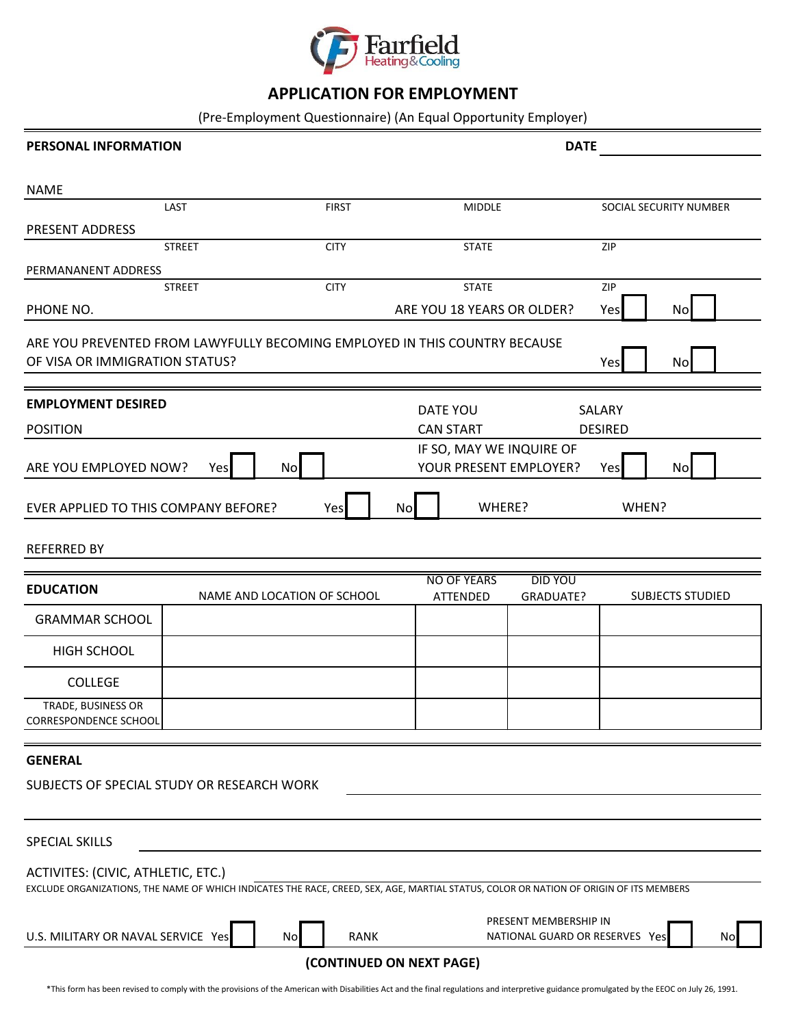

## **APPLICATION FOR EMPLOYMENT**

(Pre-Employment Questionnaire) (An Equal Opportunity Employer)

| <b>PERSONAL INFORMATION</b>                 |                                                                            | <b>DATE</b> |                    |                                                    |                |                         |
|---------------------------------------------|----------------------------------------------------------------------------|-------------|--------------------|----------------------------------------------------|----------------|-------------------------|
| <b>NAME</b>                                 |                                                                            |             |                    |                                                    |                |                         |
|                                             | LAST<br><b>FIRST</b>                                                       |             | <b>MIDDLE</b>      |                                                    |                | SOCIAL SECURITY NUMBER  |
| <b>PRESENT ADDRESS</b>                      |                                                                            |             |                    |                                                    |                |                         |
|                                             | <b>STREET</b><br><b>CITY</b>                                               |             | <b>STATE</b>       |                                                    | <b>ZIP</b>     |                         |
| PERMANANENT ADDRESS                         |                                                                            |             |                    |                                                    |                |                         |
|                                             | <b>CITY</b><br><b>STREET</b>                                               |             | <b>STATE</b>       |                                                    | ZIP            |                         |
| PHONE NO.                                   |                                                                            |             |                    | ARE YOU 18 YEARS OR OLDER?                         | Yes            | No                      |
| OF VISA OR IMMIGRATION STATUS?              | ARE YOU PREVENTED FROM LAWYFULLY BECOMING EMPLOYED IN THIS COUNTRY BECAUSE |             |                    |                                                    | Yes            | No                      |
| <b>EMPLOYMENT DESIRED</b>                   |                                                                            | DATE YOU    |                    |                                                    | SALARY         |                         |
| <b>POSITION</b>                             |                                                                            |             | <b>CAN START</b>   |                                                    | <b>DESIRED</b> |                         |
| ARE YOU EMPLOYED NOW?                       | No<br>Yes                                                                  |             |                    | IF SO, MAY WE INQUIRE OF<br>YOUR PRESENT EMPLOYER? | Yes            | No                      |
| EVER APPLIED TO THIS COMPANY BEFORE?        | Yes                                                                        | Nol         | WHERE?             |                                                    |                | WHEN?                   |
| <b>REFERRED BY</b>                          |                                                                            |             |                    |                                                    |                |                         |
|                                             |                                                                            |             | <b>NO OF YEARS</b> | <b>DID YOU</b>                                     |                |                         |
| <b>EDUCATION</b>                            | NAME AND LOCATION OF SCHOOL                                                |             | ATTENDED           | GRADUATE?                                          |                | <b>SUBJECTS STUDIED</b> |
| <b>GRAMMAR SCHOOL</b>                       |                                                                            |             |                    |                                                    |                |                         |
| <b>HIGH SCHOOL</b>                          |                                                                            |             |                    |                                                    |                |                         |
| <b>COLLEGE</b>                              |                                                                            |             |                    |                                                    |                |                         |
| TRADE, BUSINESS OR<br>CORRESPONDENCE SCHOOL |                                                                            |             |                    |                                                    |                |                         |
| <b>GENERAL</b>                              |                                                                            |             |                    |                                                    |                |                         |
|                                             | SUBJECTS OF SPECIAL STUDY OR RESEARCH WORK                                 |             |                    |                                                    |                |                         |

| <b>SPECIAL SKILLS</b>              |           |             |                                                                                                                                        |  |  |  |
|------------------------------------|-----------|-------------|----------------------------------------------------------------------------------------------------------------------------------------|--|--|--|
| ACTIVITES: (CIVIC, ATHLETIC, ETC.) |           |             |                                                                                                                                        |  |  |  |
|                                    |           |             | EXCLUDE ORGANIZATIONS, THE NAME OF WHICH INDICATES THE RACE, CREED, SEX, AGE, MARTIAL STATUS, COLOR OR NATION OF ORIGIN OF ITS MEMBERS |  |  |  |
|                                    |           |             | PRESENT MEMBERSHIP IN                                                                                                                  |  |  |  |
| U.S. MILITARY OR NAVAL SERVICE Yes | <b>No</b> | <b>RANK</b> | NATIONAL GUARD OR RESERVES<br>Yes                                                                                                      |  |  |  |
| (CONTINUED ON NEXT PAGE)           |           |             |                                                                                                                                        |  |  |  |

\*This form has been revised to comply with the provisions of the American with Disabilities Act and the final regulations and interpretive guidance promulgated by the EEOC on July 26, 1991.